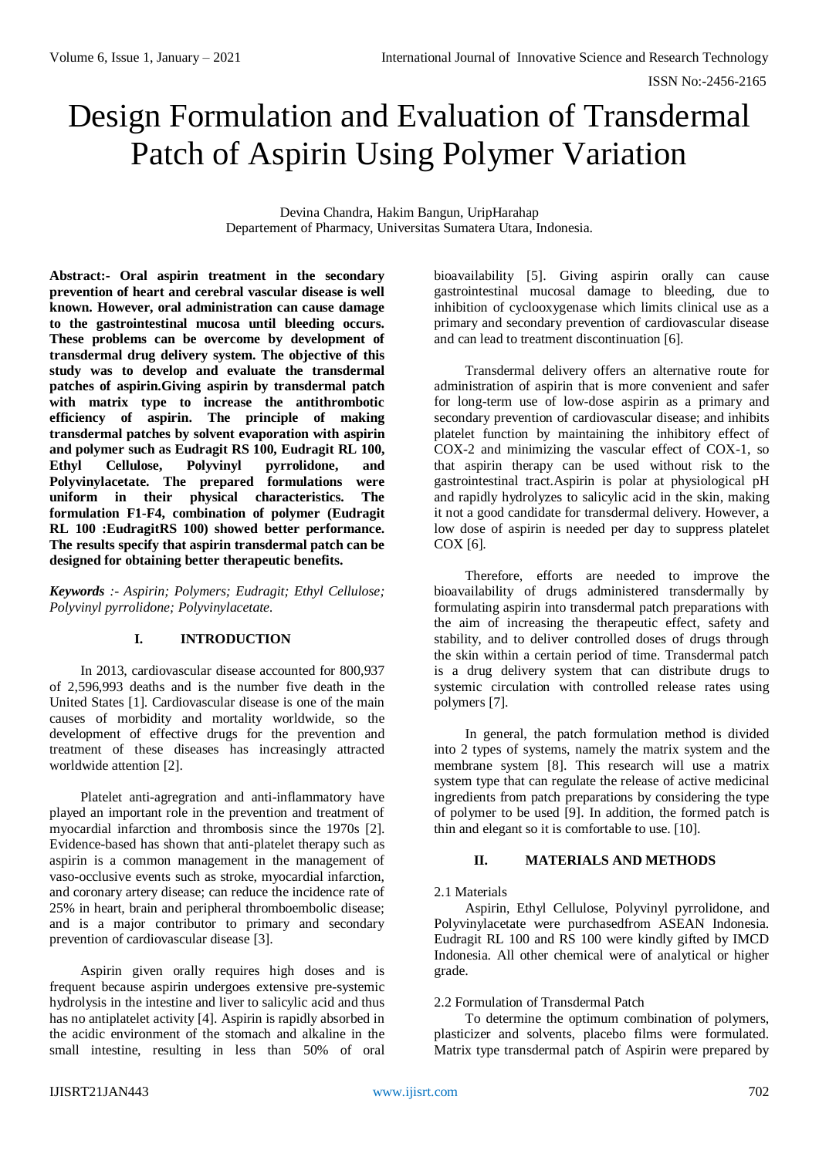# Design Formulation and Evaluation of Transdermal Patch of Aspirin Using Polymer Variation

Devina Chandra, Hakim Bangun, UripHarahap Departement of Pharmacy, Universitas Sumatera Utara, Indonesia.

**Abstract:- Oral aspirin treatment in the secondary prevention of heart and cerebral vascular disease is well known. However, oral administration can cause damage to the gastrointestinal mucosa until bleeding occurs. These problems can be overcome by development of transdermal drug delivery system. The objective of this study was to develop and evaluate the transdermal patches of aspirin.Giving aspirin by transdermal patch with matrix type to increase the antithrombotic efficiency of aspirin. The principle of making transdermal patches by solvent evaporation with aspirin and polymer such as Eudragit RS 100, Eudragit RL 100, Ethyl Cellulose, Polyvinyl pyrrolidone, and Polyvinylacetate. The prepared formulations were uniform in their physical characteristics. The formulation F1-F4, combination of polymer (Eudragit RL 100 :EudragitRS 100) showed better performance. The results specify that aspirin transdermal patch can be designed for obtaining better therapeutic benefits.**

*Keywords :- Aspirin; Polymers; Eudragit; Ethyl Cellulose; Polyvinyl pyrrolidone; Polyvinylacetate.*

# **I. INTRODUCTION**

In 2013, cardiovascular disease accounted for 800,937 of 2,596,993 deaths and is the number five death in the United States [1]. Cardiovascular disease is one of the main causes of morbidity and mortality worldwide, so the development of effective drugs for the prevention and treatment of these diseases has increasingly attracted worldwide attention [2].

Platelet anti-agregration and anti-inflammatory have played an important role in the prevention and treatment of myocardial infarction and thrombosis since the 1970s [2]. Evidence-based has shown that anti-platelet therapy such as aspirin is a common management in the management of vaso-occlusive events such as stroke, myocardial infarction, and coronary artery disease; can reduce the incidence rate of 25% in heart, brain and peripheral thromboembolic disease; and is a major contributor to primary and secondary prevention of cardiovascular disease [3].

Aspirin given orally requires high doses and is frequent because aspirin undergoes extensive pre-systemic hydrolysis in the intestine and liver to salicylic acid and thus has no antiplatelet activity [4]. Aspirin is rapidly absorbed in the acidic environment of the stomach and alkaline in the small intestine, resulting in less than 50% of oral bioavailability [5]. Giving aspirin orally can cause gastrointestinal mucosal damage to bleeding, due to inhibition of cyclooxygenase which limits clinical use as a primary and secondary prevention of cardiovascular disease and can lead to treatment discontinuation [6].

Transdermal delivery offers an alternative route for administration of aspirin that is more convenient and safer for long-term use of low-dose aspirin as a primary and secondary prevention of cardiovascular disease; and inhibits platelet function by maintaining the inhibitory effect of COX-2 and minimizing the vascular effect of COX-1, so that aspirin therapy can be used without risk to the gastrointestinal tract.Aspirin is polar at physiological pH and rapidly hydrolyzes to salicylic acid in the skin, making it not a good candidate for transdermal delivery. However, a low dose of aspirin is needed per day to suppress platelet COX [6].

Therefore, efforts are needed to improve the bioavailability of drugs administered transdermally by formulating aspirin into transdermal patch preparations with the aim of increasing the therapeutic effect, safety and stability, and to deliver controlled doses of drugs through the skin within a certain period of time. Transdermal patch is a drug delivery system that can distribute drugs to systemic circulation with controlled release rates using polymers [7].

In general, the patch formulation method is divided into 2 types of systems, namely the matrix system and the membrane system [8]. This research will use a matrix system type that can regulate the release of active medicinal ingredients from patch preparations by considering the type of polymer to be used [9]. In addition, the formed patch is thin and elegant so it is comfortable to use. [10].

# **II. MATERIALS AND METHODS**

# 2.1 Materials

Aspirin, Ethyl Cellulose, Polyvinyl pyrrolidone, and Polyvinylacetate were purchasedfrom ASEAN Indonesia. Eudragit RL 100 and RS 100 were kindly gifted by IMCD Indonesia. All other chemical were of analytical or higher grade.

# 2.2 Formulation of Transdermal Patch

To determine the optimum combination of polymers, plasticizer and solvents, placebo films were formulated. Matrix type transdermal patch of Aspirin were prepared by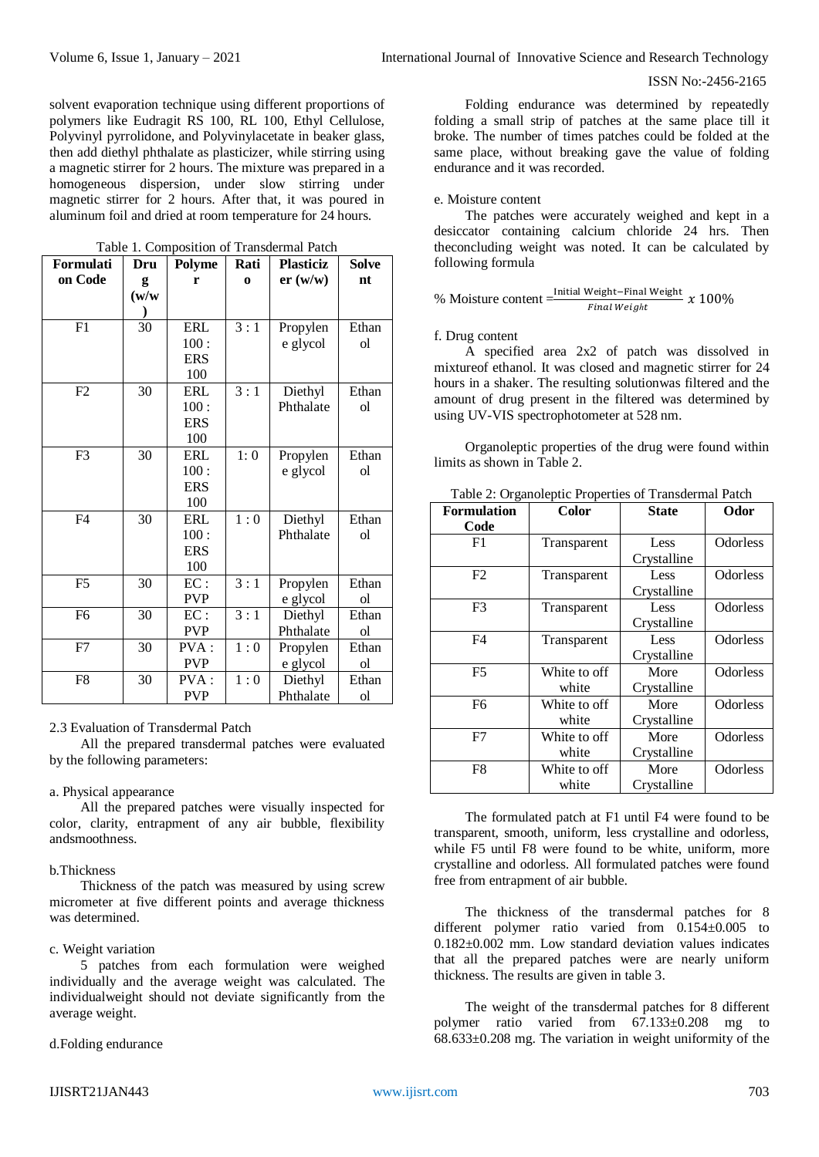### ISSN No:-2456-2165

solvent evaporation technique using different proportions of polymers like Eudragit RS 100, RL 100, Ethyl Cellulose, Polyvinyl pyrrolidone, and Polyvinylacetate in beaker glass, then add diethyl phthalate as plasticizer, while stirring using a magnetic stirrer for 2 hours. The mixture was prepared in a homogeneous dispersion, under slow stirring under magnetic stirrer for 2 hours. After that, it was poured in aluminum foil and dried at room temperature for 24 hours.

Table 1. Composition of Transdermal Patch

| Formulati      | Dru   | Polyme     | Rati     | <b>Plasticiz</b> | <b>Solve</b> |
|----------------|-------|------------|----------|------------------|--------------|
| on Code        | g     | r          | $\Omega$ | er (w/w)         | nt           |
|                | (w/w) |            |          |                  |              |
|                |       |            |          |                  |              |
| F1             | 30    | ERL        | 3:1      | Propylen         | Ethan        |
|                |       | 100:       |          | e glycol         | ol           |
|                |       | <b>ERS</b> |          |                  |              |
|                |       | 100        |          |                  |              |
| F2             | 30    | ERL        | 3:1      | Diethyl          | Ethan        |
|                |       | 100:       |          | Phthalate        | ol           |
|                |       | <b>ERS</b> |          |                  |              |
|                |       | 100        |          |                  |              |
| F <sub>3</sub> | 30    | ERL        | 1:0      | Propylen         | Ethan        |
|                |       | 100:       |          | e glycol         | ol           |
|                |       | <b>ERS</b> |          |                  |              |
|                |       | 100        |          |                  |              |
| F <sub>4</sub> | 30    | ERL        | 1:0      | Diethyl          | Ethan        |
|                |       | 100:       |          | Phthalate        | ol           |
|                |       | <b>ERS</b> |          |                  |              |
|                |       | 100        |          |                  |              |
| F <sub>5</sub> | 30    | EC:        | 3:1      | Propylen         | Ethan        |
|                |       | <b>PVP</b> |          | e glycol         | ol           |
| F <sub>6</sub> | 30    | EC:        | 3:1      | Diethyl          | Ethan        |
|                |       | <b>PVP</b> |          | Phthalate        | ol           |
| F7             | 30    | PVA:       | 1:0      | Propylen         | Ethan        |
|                |       | <b>PVP</b> |          | e glycol         | ol           |
| F8             | 30    | PVA:       | 1:0      | Diethyl          | Ethan        |
|                |       | <b>PVP</b> |          | Phthalate        | ol           |

#### 2.3 Evaluation of Transdermal Patch

All the prepared transdermal patches were evaluated by the following parameters:

# a. Physical appearance

All the prepared patches were visually inspected for color, clarity, entrapment of any air bubble, flexibility andsmoothness.

#### b.Thickness

Thickness of the patch was measured by using screw micrometer at five different points and average thickness was determined.

#### c. Weight variation

5 patches from each formulation were weighed individually and the average weight was calculated. The individualweight should not deviate significantly from the average weight.

#### d.Folding endurance

#### e. Moisture content

The patches were accurately weighed and kept in a desiccator containing calcium chloride 24 hrs. Then theconcluding weight was noted. It can be calculated by following formula

$$
\% \text{ Moisture content} = \frac{\text{Initial Weight} - \text{Final Weight}}{\text{Final Weight}} \times 100\%
$$

#### f. Drug content

A specified area 2x2 of patch was dissolved in mixtureof ethanol. It was closed and magnetic stirrer for 24 hours in a shaker. The resulting solutionwas filtered and the amount of drug present in the filtered was determined by using UV-VIS spectrophotometer at 528 nm.

Organoleptic properties of the drug were found within limits as shown in Table 2.

|  |  | Table 2: Organoleptic Properties of Transdermal Patch |  |
|--|--|-------------------------------------------------------|--|
|  |  |                                                       |  |

| <b>Formulation</b> | Color        | <b>State</b> |          |
|--------------------|--------------|--------------|----------|
| Code               |              |              |          |
| F1                 | Transparent  | Less         | Odorless |
|                    |              | Crystalline  |          |
| F2                 | Transparent  | Less         | Odorless |
|                    |              | Crystalline  |          |
| F <sub>3</sub>     | Transparent  | Less         | Odorless |
|                    |              | Crystalline  |          |
| F4                 | Transparent  | Less         | Odorless |
|                    |              | Crystalline  |          |
| F <sub>5</sub>     | White to off | More         | Odorless |
|                    | white        | Crystalline  |          |
| F <sub>6</sub>     | White to off | More         | Odorless |
|                    | white        | Crystalline  |          |
| F7                 | White to off | More         | Odorless |
|                    | white        | Crystalline  |          |
| F8                 | White to off | More         | Odorless |
|                    | white        | Crystalline  |          |

The formulated patch at F1 until F4 were found to be transparent, smooth, uniform, less crystalline and odorless, while F5 until F8 were found to be white, uniform, more crystalline and odorless. All formulated patches were found free from entrapment of air bubble.

The thickness of the transdermal patches for 8 different polymer ratio varied from 0.154±0.005 to 0.182±0.002 mm. Low standard deviation values indicates that all the prepared patches were are nearly uniform thickness. The results are given in table 3.

The weight of the transdermal patches for 8 different polymer ratio varied from 67.133±0.208 mg to  $68.633\pm0.208$  mg. The variation in weight uniformity of the